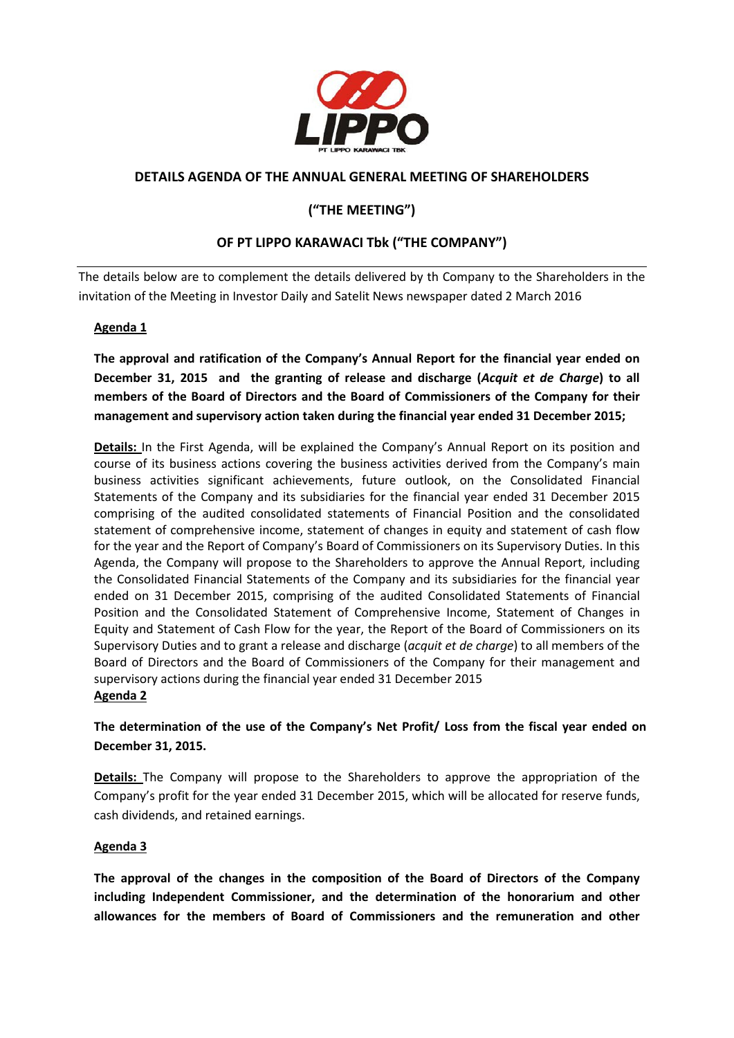

## **DETAILS AGENDA OF THE ANNUAL GENERAL MEETING OF SHAREHOLDERS**

# **("THE MEETING")**

# **OF PT LIPPO KARAWACI Tbk ("THE COMPANY")**

The details below are to complement the details delivered by th Company to the Shareholders in the invitation of the Meeting in Investor Daily and Satelit News newspaper dated 2 March 2016

#### **Agenda 1**

**The approval and ratification of the Company's Annual Report for the financial year ended on December 31, 2015 and the granting of release and discharge (***Acquit et de Charge***) to all members of the Board of Directors and the Board of Commissioners of the Company for their management and supervisory action taken during the financial year ended 31 December 2015;**

**Details:** In the First Agenda, will be explained the Company's Annual Report on its position and course of its business actions covering the business activities derived from the Company's main business activities significant achievements, future outlook, on the Consolidated Financial Statements of the Company and its subsidiaries for the financial year ended 31 December 2015 comprising of the audited consolidated statements of Financial Position and the consolidated statement of comprehensive income, statement of changes in equity and statement of cash flow for the year and the Report of Company's Board of Commissioners on its Supervisory Duties. In this Agenda, the Company will propose to the Shareholders to approve the Annual Report, including the Consolidated Financial Statements of the Company and its subsidiaries for the financial year ended on 31 December 2015, comprising of the audited Consolidated Statements of Financial Position and the Consolidated Statement of Comprehensive Income, Statement of Changes in Equity and Statement of Cash Flow for the year, the Report of the Board of Commissioners on its Supervisory Duties and to grant a release and discharge (*acquit et de charge*) to all members of the Board of Directors and the Board of Commissioners of the Company for their management and supervisory actions during the financial year ended 31 December 2015 **Agenda 2**

**The determination of the use of the Company's Net Profit/ Loss from the fiscal year ended on December 31, 2015.**

**Details:** The Company will propose to the Shareholders to approve the appropriation of the Company's profit for the year ended 31 December 2015, which will be allocated for reserve funds, cash dividends, and retained earnings.

#### **Agenda 3**

**The approval of the changes in the composition of the Board of Directors of the Company including Independent Commissioner, and the determination of the honorarium and other allowances for the members of Board of Commissioners and the remuneration and other**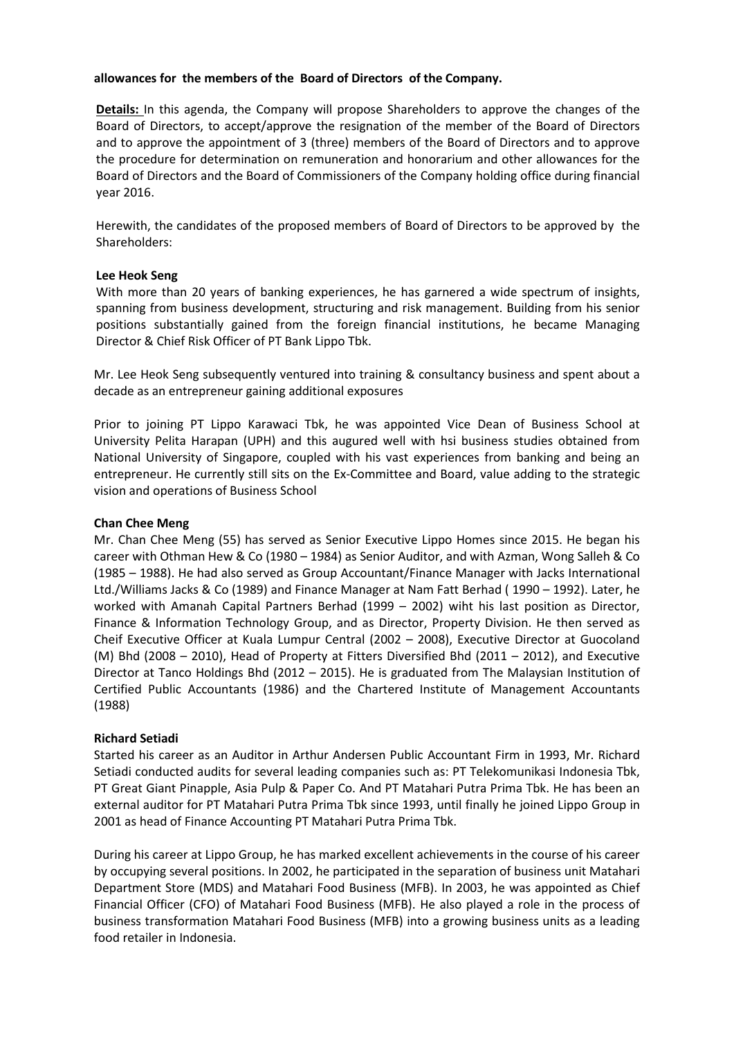#### **allowances for the members of the Board of Directors of the Company.**

**Details:** In this agenda, the Company will propose Shareholders to approve the changes of the Board of Directors, to accept/approve the resignation of the member of the Board of Directors and to approve the appointment of 3 (three) members of the Board of Directors and to approve the procedure for determination on remuneration and honorarium and other allowances for the Board of Directors and the Board of Commissioners of the Company holding office during financial year 2016.

Herewith, the candidates of the proposed members of Board of Directors to be approved by the Shareholders:

#### **Lee Heok Seng**

With more than 20 years of banking experiences, he has garnered a wide spectrum of insights, spanning from business development, structuring and risk management. Building from his senior positions substantially gained from the foreign financial institutions, he became Managing Director & Chief Risk Officer of PT Bank Lippo Tbk.

Mr. Lee Heok Seng subsequently ventured into training & consultancy business and spent about a decade as an entrepreneur gaining additional exposures

Prior to joining PT Lippo Karawaci Tbk, he was appointed Vice Dean of Business School at University Pelita Harapan (UPH) and this augured well with hsi business studies obtained from National University of Singapore, coupled with his vast experiences from banking and being an entrepreneur. He currently still sits on the Ex-Committee and Board, value adding to the strategic vision and operations of Business School

#### **Chan Chee Meng**

Mr. Chan Chee Meng (55) has served as Senior Executive Lippo Homes since 2015. He began his career with Othman Hew & Co (1980 – 1984) as Senior Auditor, and with Azman, Wong Salleh & Co (1985 – 1988). He had also served as Group Accountant/Finance Manager with Jacks International Ltd./Williams Jacks & Co (1989) and Finance Manager at Nam Fatt Berhad ( 1990 – 1992). Later, he worked with Amanah Capital Partners Berhad (1999 – 2002) wiht his last position as Director, Finance & Information Technology Group, and as Director, Property Division. He then served as Cheif Executive Officer at Kuala Lumpur Central (2002 – 2008), Executive Director at Guocoland (M) Bhd (2008 – 2010), Head of Property at Fitters Diversified Bhd (2011 – 2012), and Executive Director at Tanco Holdings Bhd (2012 – 2015). He is graduated from The Malaysian Institution of Certified Public Accountants (1986) and the Chartered Institute of Management Accountants (1988)

#### **Richard Setiadi**

Started his career as an Auditor in Arthur Andersen Public Accountant Firm in 1993, Mr. Richard Setiadi conducted audits for several leading companies such as: PT Telekomunikasi Indonesia Tbk, PT Great Giant Pinapple, Asia Pulp & Paper Co. And PT Matahari Putra Prima Tbk. He has been an external auditor for PT Matahari Putra Prima Tbk since 1993, until finally he joined Lippo Group in 2001 as head of Finance Accounting PT Matahari Putra Prima Tbk.

During his career at Lippo Group, he has marked excellent achievements in the course of his career by occupying several positions. In 2002, he participated in the separation of business unit Matahari Department Store (MDS) and Matahari Food Business (MFB). In 2003, he was appointed as Chief Financial Officer (CFO) of Matahari Food Business (MFB). He also played a role in the process of business transformation Matahari Food Business (MFB) into a growing business units as a leading food retailer in Indonesia.